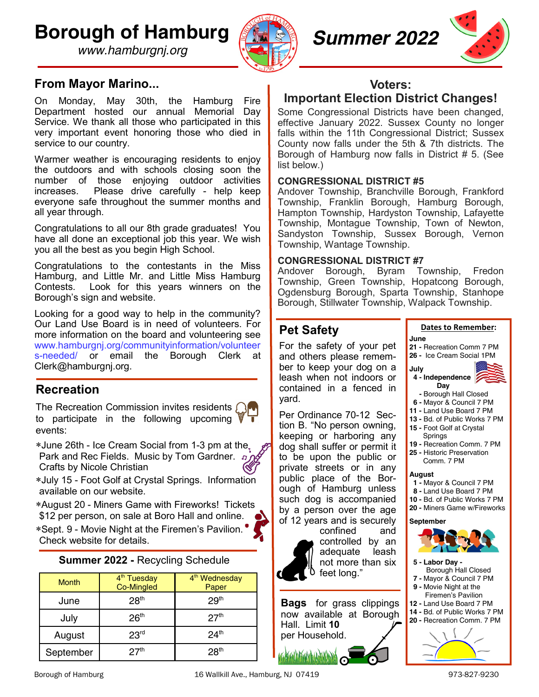**Borough of Hamburg**

*www.hamburgnj.org*



*Summer 2022*



# **From Mayor Marino...**

On Monday, May 30th, the Hamburg Fire Department hosted our annual Memorial Day Service. We thank all those who participated in this very important event honoring those who died in service to our country.

Warmer weather is encouraging residents to enjoy the outdoors and with schools closing soon the number of those enjoying outdoor activities increases. Please drive carefully - help keep everyone safe throughout the summer months and all year through.

Congratulations to all our 8th grade graduates! You have all done an exceptional job this year. We wish you all the best as you begin High School.

Congratulations to the contestants in the Miss Hamburg, and Little Mr. and Little Miss Hamburg Contests. Look for this years winners on the Borough's sign and website.

Looking for a good way to help in the community? Our Land Use Board is in need of volunteers. For more information on the board and volunteering see www.hamburgnj.org/communityinformation/volunteer s-needed/ or email the Borough Clerk at Clerk@hamburgnj.org.

# **Recreation**

The Recreation Commission invites residents  $\bigcap$ to participate in the following upcoming events:

\*June 26th - Ice Cream Social from 1-3 pm at the. Park and Rec Fields. Music by Tom Gardner. n Crafts by Nicole Christian

July 15 - Foot Golf at Crystal Springs. Information available on our website.

August 20 - Miners Game with Fireworks! Tickets \$12 per person, on sale at Boro Hall and online.

\*Sept. 9 - Movie Night at the Firemen's Pavilion. Check website for details.

## **Summer 2022 -** Recycling Schedule

| <b>Month</b> | 4 <sup>th</sup> Tuesday<br><b>Co-Mingled</b> | 4 <sup>th</sup> Wednesday<br>Paper |
|--------------|----------------------------------------------|------------------------------------|
| June         | 28 <sup>th</sup>                             | 29 <sup>th</sup>                   |
| July         | 26 <sup>th</sup>                             | 27 <sup>th</sup>                   |
| August       | 23 <sup>rd</sup>                             | 24 <sup>th</sup>                   |
| September    | 27 <sup>th</sup>                             | 28 <sup>th</sup>                   |

**Voters: Important Election District Changes!**

Some Congressional Districts have been changed, effective January 2022. Sussex County no longer falls within the 11th Congressional District; Sussex County now falls under the 5th & 7th districts. The Borough of Hamburg now falls in District # 5. (See list below.)

### **CONGRESSIONAL DISTRICT #5**

Andover Township, Branchville Borough, Frankford Township, Franklin Borough, Hamburg Borough, Hampton Township, Hardyston Township, Lafayette Township, Montague Township, Town of Newton, Sandyston Township, Sussex Borough, Vernon Township, Wantage Township.

#### **CONGRESSIONAL DISTRICT #7**

Andover Borough, Byram Township, Fredon Township, Green Township, Hopatcong Borough, Ogdensburg Borough, Sparta Township, Stanhope Borough, Stillwater Township, Walpack Township.

# **Pet Safety**

For the safety of your pet and others please remember to keep your dog on a leash when not indoors or contained in a fenced in yard.

Per Ordinance 70-12 Section B. "No person owning, keeping or harboring any dog shall suffer or permit it to be upon the public or private streets or in any public place of the Borough of Hamburg unless such dog is accompanied by a person over the age of 12 years and is securely



confined and controlled by an<br>adequate leash adequate not more than six feet long."

**Bags** for grass clippings now available at Borough Hall. Limit **10** 



#### **Dates to Remember:**

**June 21 -** Recreation Comm 7 PM **26 -** Ice Cream Social 1PM



- **6 -** Mayor & Council 7 PM
- **11 -** Land Use Board 7 PM
- **13 -** Bd. of Public Works 7 PM
- **15 -** Foot Golf at Crystal
- Springs
- **19 -** Recreation Comm. 7 PM **25 -** Historic Preservation
	- Comm. 7 PM

#### **August**

- **1 -** Mayor & Council 7 PM
- **8 -** Land Use Board 7 PM
- **10 -** Bd. of Public Works 7 PM **20 -** Miners Game w/Fireworks
- **September**



- **5 - Labor Day -**
- Borough Hall Closed
- **7 -** Mayor & Council 7 PM
- **9 -** Movie Night at the Firemen's Pavilion
- **12 -** Land Use Board 7 PM
- **14 -** Bd. of Public Works 7 PM **20 -** Recreation Comm. 7 PM
	-